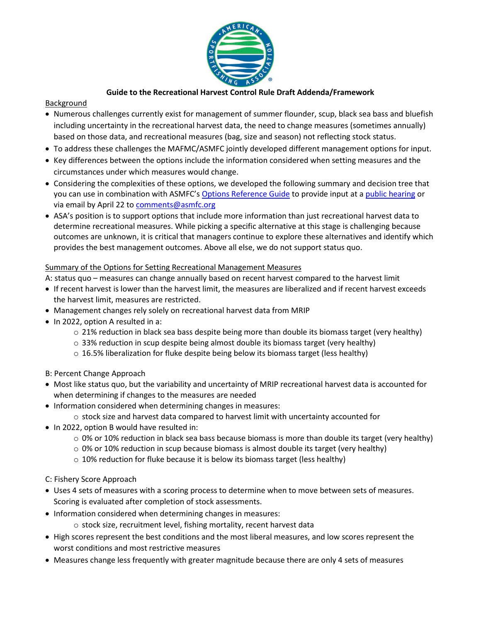

## **Guide to the Recreational Harvest Control Rule Draft Addenda/Framework**

## Background

- Numerous challenges currently exist for management of summer flounder, scup, black sea bass and bluefish including uncertainty in the recreational harvest data, the need to change measures (sometimes annually) based on those data, and recreational measures (bag, size and season) not reflecting stock status.
- To address these challenges the MAFMC/ASMFC jointly developed different management options for input.
- Key differences between the options include the information considered when setting measures and the circumstances under which measures would change.
- Considering the complexities of these options, we developed the following summary and decision tree that you can use in combination with ASMFC's [Options Reference Guide](http://www.asmfc.org/files/PublicInput/HCR_FW_addenda_reference_guide_March2022.pdf) to provide input at a [public hearing](http://www.asmfc.org/files/PublicInput/pr06HarvestControlRule_PublicComment.pdf) or via email by April 22 to [comments@asmfc.org](mailto:comments@asmfc.org)
- ASA's position is to support options that include more information than just recreational harvest data to determine recreational measures. While picking a specific alternative at this stage is challenging because outcomes are unknown, it is critical that managers continue to explore these alternatives and identify which provides the best management outcomes. Above all else, we do not support status quo.

## Summary of the Options for Setting Recreational Management Measures

A: status quo – measures can change annually based on recent harvest compared to the harvest limit

- If recent harvest is lower than the harvest limit, the measures are liberalized and if recent harvest exceeds the harvest limit, measures are restricted.
- Management changes rely solely on recreational harvest data from MRIP
- In 2022, option A resulted in a:
	- $\circ$  21% reduction in black sea bass despite being more than double its biomass target (very healthy)
	- $\circ$  33% reduction in scup despite being almost double its biomass target (very healthy)
	- $\circ$  16.5% liberalization for fluke despite being below its biomass target (less healthy)
- B: Percent Change Approach
- Most like status quo, but the variability and uncertainty of MRIP recreational harvest data is accounted for when determining if changes to the measures are needed
- Information considered when determining changes in measures:
	- $\circ$  stock size and harvest data compared to harvest limit with uncertainty accounted for
- In 2022, option B would have resulted in:
	- $\circ$  0% or 10% reduction in black sea bass because biomass is more than double its target (very healthy)
	- $\circ$  0% or 10% reduction in scup because biomass is almost double its target (very healthy)
	- $\circ$  10% reduction for fluke because it is below its biomass target (less healthy)
- C: Fishery Score Approach
- Uses 4 sets of measures with a scoring process to determine when to move between sets of measures. Scoring is evaluated after completion of stock assessments.
- Information considered when determining changes in measures:
	- o stock size, recruitment level, fishing mortality, recent harvest data
- High scores represent the best conditions and the most liberal measures, and low scores represent the worst conditions and most restrictive measures
- Measures change less frequently with greater magnitude because there are only 4 sets of measures